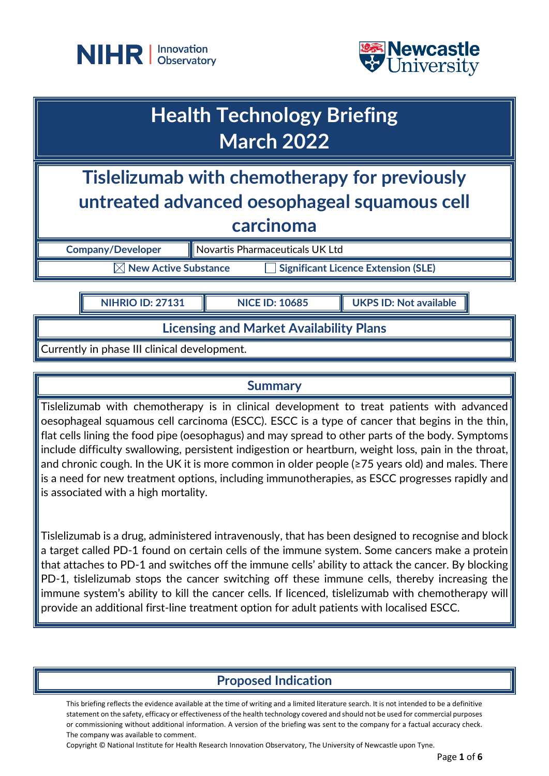



# **Health Technology Briefing March 2022**

**Tislelizumab with chemotherapy for previously untreated advanced oesophageal squamous cell carcinoma**

**Company/Developer Novartis Pharmaceuticals UK Ltd** 

 $\boxtimes$  New Active Substance  $\qquad \qquad \Box$  Significant Licence Extension (SLE)

**NIHRIO ID: 27131 NICE ID: 10685 UKPS ID: Not available**

**Licensing and Market Availability Plans**

Currently in phase III clinical development.

# **Summary**

Tislelizumab with chemotherapy is in clinical development to treat patients with advanced oesophageal squamous cell carcinoma (ESCC). ESCC is a type of cancer that begins in the thin, flat cells lining the food pipe (oesophagus) and may spread to other parts of the body. Symptoms include difficulty swallowing, persistent indigestion or heartburn, weight loss, pain in the throat, and chronic cough. In the UK it is more common in older people (≥75 years old) and males. There is a need for new treatment options, including immunotherapies, as ESCC progresses rapidly and is associated with a high mortality.

Tislelizumab is a drug, administered intravenously, that has been designed to recognise and block a target called PD-1 found on certain cells of the immune system. Some cancers make a protein that attaches to PD-1 and switches off the immune cells' ability to attack the cancer. By blocking PD-1, tislelizumab stops the cancer switching off these immune cells, thereby increasing the immune system's ability to kill the cancer cells. If licenced, tislelizumab with chemotherapy will provide an additional first-line treatment option for adult patients with localised ESCC.

# **Proposed Indication**

This briefing reflects the evidence available at the time of writing and a limited literature search. It is not intended to be a definitive statement on the safety, efficacy or effectiveness of the health technology covered and should not be used for commercial purposes or commissioning without additional information. A version of the briefing was sent to the company for a factual accuracy check. The company was available to comment.

Copyright © National Institute for Health Research Innovation Observatory, The University of Newcastle upon Tyne.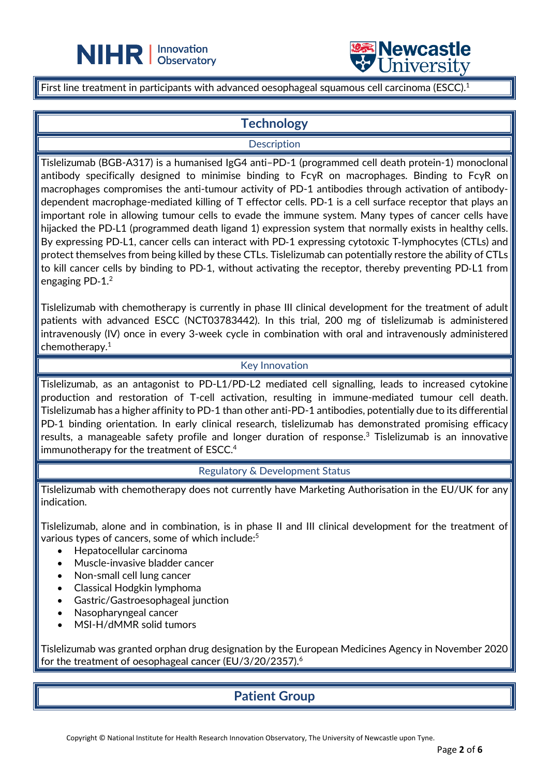



First line treatment in participants with advanced oesophageal squamous cell carcinoma (ESCC).<sup>1</sup>

 $\overline{a}$ 

# **Technology**

#### **Description**

Tislelizumab (BGB-A317) is a humanised IgG4 anti–PD-1 (programmed cell death protein-1) monoclonal antibody specifically designed to minimise binding to FcγR on macrophages. Binding to FcγR on macrophages compromises the anti-tumour activity of PD-1 antibodies through activation of antibodydependent macrophage-mediated killing of T effector cells. PD-1 is a cell surface receptor that plays an important role in allowing tumour cells to evade the immune system. Many types of cancer cells have hijacked the PD-L1 (programmed death ligand 1) expression system that normally exists in healthy cells. By expressing PD-L1, cancer cells can interact with PD-1 expressing cytotoxic T-lymphocytes (CTLs) and protect themselves from being killed by these CTLs. Tislelizumab can potentially restore the ability of CTLs to kill cancer cells by binding to PD‑1, without activating the receptor, thereby preventing PD‑L1 from engaging PD- $1.^2$ 

Tislelizumab with chemotherapy is currently in phase III clinical development for the treatment of adult patients with advanced ESCC (NCT03783442). In this trial, 200 mg of tislelizumab is administered intravenously (IV) once in every 3-week cycle in combination with oral and intravenously administered chemotherapy.1

#### Key Innovation

Tislelizumab, as an antagonist to PD-L1/PD-L2 mediated cell signalling, leads to increased cytokine production and restoration of T-cell activation, resulting in immune-mediated tumour cell death. Tislelizumab has a higher affinity to PD-1 than other anti-PD-1 antibodies, potentially due to its differential PD-1 binding orientation. In early clinical research, tislelizumab has demonstrated promising efficacy results, a manageable safety profile and longer duration of response.<sup>3</sup> Tislelizumab is an innovative immunotherapy for the treatment of ESCC.<sup>4</sup>

Regulatory & Development Status

Tislelizumab with chemotherapy does not currently have Marketing Authorisation in the EU/UK for any indication.

Tislelizumab, alone and in combination, is in phase II and III clinical development for the treatment of various types of cancers, some of which include: 5

- Hepatocellular carcinoma
- Muscle-invasive bladder cancer
- Non-small cell lung cancer
- Classical Hodgkin lymphoma
- Gastric/Gastroesophageal junction
- Nasopharyngeal cancer
- MSI-H/dMMR solid tumors

Tislelizumab was granted orphan drug designation by the European Medicines Agency in November 2020 for the treatment of oesophageal cancer (EU/3/20/2357). 6

# **Patient Group**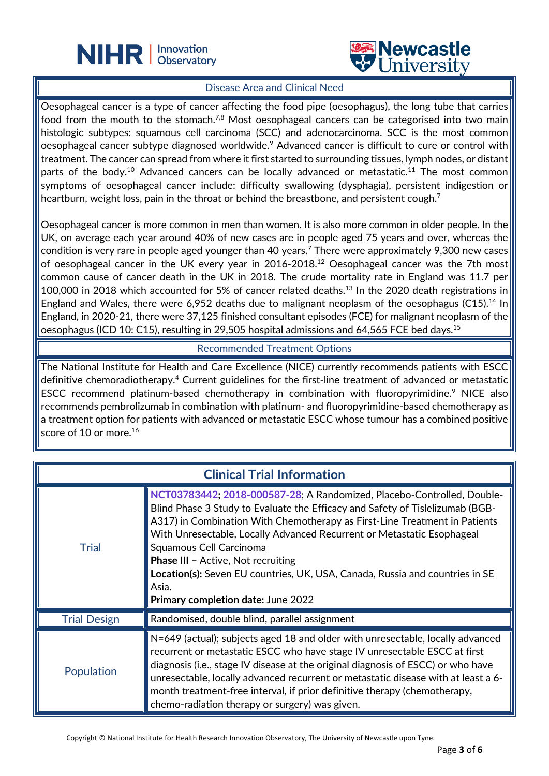



#### Disease Area and Clinical Need

 $\overline{a}$ 

Oesophageal cancer is a type of cancer affecting the food pipe (oesophagus), the long tube that carries food from the mouth to the stomach.<sup>7,8</sup> Most oesophageal cancers can be categorised into two main histologic subtypes: squamous cell carcinoma (SCC) and adenocarcinoma. SCC is the most common oesophageal cancer subtype diagnosed worldwide.<sup>9</sup> Advanced cancer is difficult to cure or control with treatment. The cancer can spread from where it first started to surrounding tissues, lymph nodes, or distant parts of the body.<sup>10</sup> Advanced cancers can be locally advanced or metastatic.<sup>11</sup> The most common symptoms of oesophageal cancer include: difficulty swallowing (dysphagia), persistent indigestion or heartburn, weight loss, pain in the throat or behind the breastbone, and persistent cough. $^7$ 

Oesophageal cancer is more common in men than women. It is also more common in older people. In the UK, on average each year around 40% of new cases are in people aged 75 years and over, whereas the condition is very rare in people aged younger than 40 years.<sup>7</sup> There were approximately 9,300 new cases of oesophageal cancer in the UK every year in 2016-2018.<sup>12</sup> Oesophageal cancer was the 7th most common cause of cancer death in the UK in 2018. The crude mortality rate in England was 11.7 per 100,000 in 2018 which accounted for 5% of cancer related deaths.<sup>13</sup> In the 2020 death registrations in England and Wales, there were 6,952 deaths due to malignant neoplasm of the oesophagus (C15).<sup>14</sup> In England, in 2020-21, there were 37,125 finished consultant episodes (FCE) for malignant neoplasm of the oesophagus (ICD 10: C15), resulting in 29,505 hospital admissions and 64,565 FCE bed days.<sup>15</sup>

Recommended Treatment Options

The National Institute for Health and Care Excellence (NICE) currently recommends patients with ESCC definitive chemoradiotherapy.<sup>4</sup> Current guidelines for the first-line treatment of advanced or metastatic ESCC recommend platinum-based chemotherapy in combination with fluoropyrimidine.<sup>9</sup> NICE also recommends pembrolizumab in combination with platinum- and fluoropyrimidine-based chemotherapy as a treatment option for patients with advanced or metastatic ESCC whose tumour has a combined positive score of 10 or more.<sup>16</sup>

| <b>Clinical Trial Information</b> |                                                                                                                                                                                                                                                                                                                                                                                                                                                                                                                        |
|-----------------------------------|------------------------------------------------------------------------------------------------------------------------------------------------------------------------------------------------------------------------------------------------------------------------------------------------------------------------------------------------------------------------------------------------------------------------------------------------------------------------------------------------------------------------|
| <b>Trial</b>                      | NCT03783442; 2018-000587-28; A Randomized, Placebo-Controlled, Double-<br>Blind Phase 3 Study to Evaluate the Efficacy and Safety of Tislelizumab (BGB-<br>A317) in Combination With Chemotherapy as First-Line Treatment in Patients<br>With Unresectable, Locally Advanced Recurrent or Metastatic Esophageal<br>Squamous Cell Carcinoma<br><b>Phase III - Active, Not recruiting</b><br>Location(s): Seven EU countries, UK, USA, Canada, Russia and countries in SE<br>Asia.<br>Primary completion date: June 2022 |
| <b>Trial Design</b>               | Randomised, double blind, parallel assignment                                                                                                                                                                                                                                                                                                                                                                                                                                                                          |
| Population                        | N=649 (actual); subjects aged 18 and older with unresectable, locally advanced<br>recurrent or metastatic ESCC who have stage IV unresectable ESCC at first<br>diagnosis (i.e., stage IV disease at the original diagnosis of ESCC) or who have<br>unresectable, locally advanced recurrent or metastatic disease with at least a 6-<br>month treatment-free interval, if prior definitive therapy (chemotherapy,<br>chemo-radiation therapy or surgery) was given.                                                    |

Copyright © National Institute for Health Research Innovation Observatory, The University of Newcastle upon Tyne.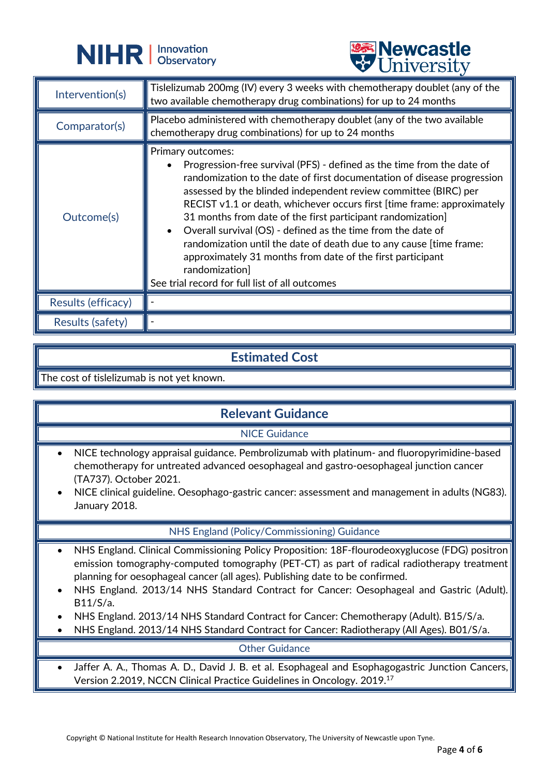



|                         | <b>CHITACTOTA</b>                                                                                                                                                                                                                                                                                                                                                                                                                                                                                                                                                                                                                                                        |
|-------------------------|--------------------------------------------------------------------------------------------------------------------------------------------------------------------------------------------------------------------------------------------------------------------------------------------------------------------------------------------------------------------------------------------------------------------------------------------------------------------------------------------------------------------------------------------------------------------------------------------------------------------------------------------------------------------------|
| Intervention(s)         | Tislelizumab 200mg (IV) every 3 weeks with chemotherapy doublet (any of the<br>two available chemotherapy drug combinations) for up to 24 months                                                                                                                                                                                                                                                                                                                                                                                                                                                                                                                         |
| Comparator(s)           | Placebo administered with chemotherapy doublet (any of the two available<br>chemotherapy drug combinations) for up to 24 months                                                                                                                                                                                                                                                                                                                                                                                                                                                                                                                                          |
| Outcome(s)              | Primary outcomes:<br>Progression-free survival (PFS) - defined as the time from the date of<br>randomization to the date of first documentation of disease progression<br>assessed by the blinded independent review committee (BIRC) per<br>RECIST v1.1 or death, whichever occurs first [time frame: approximately<br>31 months from date of the first participant randomization<br>Overall survival (OS) - defined as the time from the date of<br>$\bullet$<br>randomization until the date of death due to any cause [time frame:<br>approximately 31 months from date of the first participant<br>randomization]<br>See trial record for full list of all outcomes |
| Results (efficacy)      |                                                                                                                                                                                                                                                                                                                                                                                                                                                                                                                                                                                                                                                                          |
| <b>Results (safety)</b> |                                                                                                                                                                                                                                                                                                                                                                                                                                                                                                                                                                                                                                                                          |

#### **Estimated Cost**

The cost of tislelizumab is not yet known.

# **Relevant Guidance**

#### NICE Guidance

- NICE technology appraisal guidance. Pembrolizumab with platinum- and fluoropyrimidine-based chemotherapy for untreated advanced oesophageal and gastro-oesophageal junction cancer (TA737). October 2021.
- NICE clinical guideline. Oesophago-gastric cancer: assessment and management in adults (NG83). January 2018.

#### NHS England (Policy/Commissioning) Guidance

- NHS England. Clinical Commissioning Policy Proposition: 18F-flourodeoxyglucose (FDG) positron emission tomography-computed tomography (PET-CT) as part of radical radiotherapy treatment planning for oesophageal cancer (all ages). Publishing date to be confirmed.
- NHS England. 2013/14 NHS Standard Contract for Cancer: Oesophageal and Gastric (Adult). B11/S/a.
- NHS England. 2013/14 NHS Standard Contract for Cancer: Chemotherapy (Adult). B15/S/a.
- NHS England. 2013/14 NHS Standard Contract for Cancer: Radiotherapy (All Ages). B01/S/a.

#### Other Guidance

• Jaffer A. A., Thomas A. D., David J. B. et al. Esophageal and Esophagogastric Junction Cancers, Version 2.2019, NCCN Clinical Practice Guidelines in Oncology. 2019. 17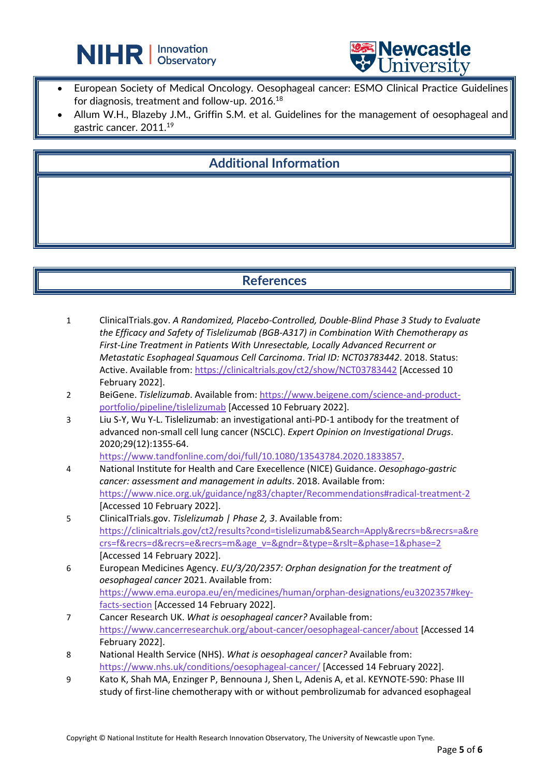



• European Society of Medical Oncology. Oesophageal cancer: ESMO Clinical Practice Guidelines for diagnosis, treatment and follow-up. 2016.<sup>18</sup>

 $\overline{a}$ 

Allum W.H., Blazeby J.M., Griffin S.M. et al. Guidelines for the management of oesophageal and gastric cancer. 2011.<sup>19</sup>

# **Additional Information**

#### **References**

- 1 ClinicalTrials.gov. *A Randomized, Placebo-Controlled, Double-Blind Phase 3 Study to Evaluate the Efficacy and Safety of Tislelizumab (BGB-A317) in Combination With Chemotherapy as First-Line Treatment in Patients With Unresectable, Locally Advanced Recurrent or Metastatic Esophageal Squamous Cell Carcinoma*. *Trial ID: NCT03783442*. 2018. Status: Active. Available from:<https://clinicaltrials.gov/ct2/show/NCT03783442> [Accessed 10 February 2022].
- 2 BeiGene. *Tislelizumab*. Available from[: https://www.beigene.com/science-and-product](https://www.beigene.com/science-and-product-portfolio/pipeline/tislelizumab)[portfolio/pipeline/tislelizumab](https://www.beigene.com/science-and-product-portfolio/pipeline/tislelizumab) [Accessed 10 February 2022].
- 3 Liu S-Y, Wu Y-L. Tislelizumab: an investigational anti-PD-1 antibody for the treatment of advanced non-small cell lung cancer (NSCLC). *Expert Opinion on Investigational Drugs*. 2020;29(12):1355-64.

[https://www.tandfonline.com/doi/full/10.1080/13543784.2020.1833857.](https://www.tandfonline.com/doi/full/10.1080/13543784.2020.1833857)

- 4 National Institute for Health and Care Execellence (NICE) Guidance. *Oesophago-gastric cancer: assessment and management in adults*. 2018. Available from: <https://www.nice.org.uk/guidance/ng83/chapter/Recommendations#radical-treatment-2> [Accessed 10 February 2022].
- 5 ClinicalTrials.gov. *Tislelizumab | Phase 2, 3*. Available from: [https://clinicaltrials.gov/ct2/results?cond=tislelizumab&Search=Apply&recrs=b&recrs=a&re](https://clinicaltrials.gov/ct2/results?cond=tislelizumab&Search=Apply&recrs=b&recrs=a&recrs=f&recrs=d&recrs=e&recrs=m&age_v=&gndr=&type=&rslt=&phase=1&phase=2) [crs=f&recrs=d&recrs=e&recrs=m&age\\_v=&gndr=&type=&rslt=&phase=1&phase=2](https://clinicaltrials.gov/ct2/results?cond=tislelizumab&Search=Apply&recrs=b&recrs=a&recrs=f&recrs=d&recrs=e&recrs=m&age_v=&gndr=&type=&rslt=&phase=1&phase=2) [Accessed 14 February 2022].
- 6 European Medicines Agency. *EU/3/20/2357: Orphan designation for the treatment of oesophageal cancer* 2021. Available from: [https://www.ema.europa.eu/en/medicines/human/orphan-designations/eu3202357#key](https://www.ema.europa.eu/en/medicines/human/orphan-designations/eu3202357#key-facts-section)[facts-section](https://www.ema.europa.eu/en/medicines/human/orphan-designations/eu3202357#key-facts-section) [Accessed 14 February 2022].
- 7 Cancer Research UK. *What is oesophageal cancer?* Available from: <https://www.cancerresearchuk.org/about-cancer/oesophageal-cancer/about> [Accessed 14 February 2022].
- 8 National Health Service (NHS). *What is oesophageal cancer?* Available from: <https://www.nhs.uk/conditions/oesophageal-cancer/> [Accessed 14 February 2022].
- 9 Kato K, Shah MA, Enzinger P, Bennouna J, Shen L, Adenis A, et al. KEYNOTE-590: Phase III study of first-line chemotherapy with or without pembrolizumab for advanced esophageal